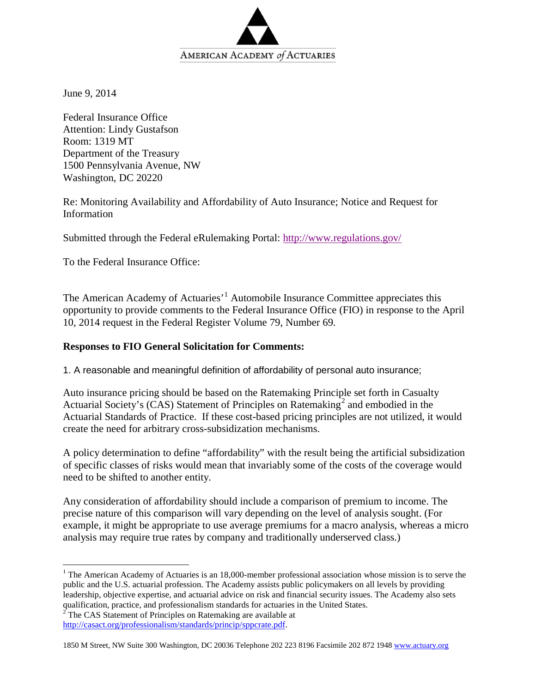

June 9, 2014

Federal Insurance Office Attention: Lindy Gustafson Room: 1319 MT Department of the Treasury 1500 Pennsylvania Avenue, NW Washington, DC 20220

Re: Monitoring Availability and Affordability of Auto Insurance; Notice and Request for Information

Submitted through the Federal eRulemaking Portal: <http://www.regulations.gov/>

To the Federal Insurance Office:

The American Academy of Actuaries'<sup>[1](#page-0-0)</sup> Automobile Insurance Committee appreciates this opportunity to provide comments to the Federal Insurance Office (FIO) in response to the April 10, 2014 request in the Federal Register Volume 79, Number 69.

## **Responses to FIO General Solicitation for Comments:**

1. A reasonable and meaningful definition of affordability of personal auto insurance;

Auto insurance pricing should be based on the Ratemaking Principle set forth in Casualty Actuarial Society's (CAS) Statement of Principles on Ratemaking<sup>[2](#page-0-1)</sup> and embodied in the Actuarial Standards of Practice. If these cost-based pricing principles are not utilized, it would create the need for arbitrary cross-subsidization mechanisms.

A policy determination to define "affordability" with the result being the artificial subsidization of specific classes of risks would mean that invariably some of the costs of the coverage would need to be shifted to another entity.

Any consideration of affordability should include a comparison of premium to income. The precise nature of this comparison will vary depending on the level of analysis sought. (For example, it might be appropriate to use average premiums for a macro analysis, whereas a micro analysis may require true rates by company and traditionally underserved class.)

<span id="page-0-0"></span><sup>&</sup>lt;sup>1</sup> The American Academy of Actuaries is an 18,000-member professional association whose mission is to serve the public and the U.S. actuarial profession. The Academy assists public policymakers on all levels by providing leadership, objective expertise, and actuarial advice on risk and financial security issues. The Academy also sets qualification, practice, and professionalism standards for actuaries in the United States.

<span id="page-0-1"></span> $2^2$  The CAS Statement of Principles on Ratemaking are available at [http://casact.org/professionalism/standards/princip/sppcrate.pdf.](http://casact.org/professionalism/standards/princip/sppcrate.pdf)

<sup>1850</sup> M Street, NW Suite 300 Washington, DC 20036 Telephone 202 223 8196 Facsimile 202 872 194[8 www.actuary.org](http://www.actuary.org/)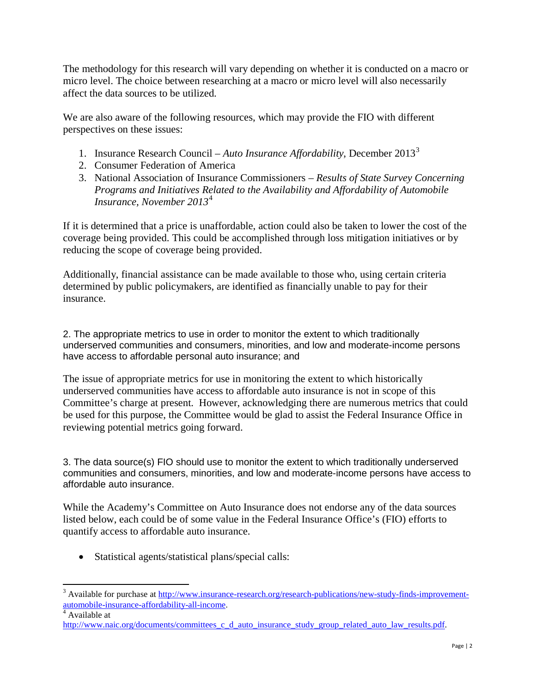The methodology for this research will vary depending on whether it is conducted on a macro or micro level. The choice between researching at a macro or micro level will also necessarily affect the data sources to be utilized.

We are also aware of the following resources, which may provide the FIO with different perspectives on these issues:

- 1. Insurance Research Council *Auto Insurance Affordability*, December 2013[3](#page-1-0)
- 2. Consumer Federation of America
- 3. National Association of Insurance Commissioners *Results of State Survey Concerning Programs and Initiatives Related to the Availability and Affordability of Automobile Insurance, November 2013*[4](#page-1-1)

If it is determined that a price is unaffordable, action could also be taken to lower the cost of the coverage being provided. This could be accomplished through loss mitigation initiatives or by reducing the scope of coverage being provided.

Additionally, financial assistance can be made available to those who, using certain criteria determined by public policymakers, are identified as financially unable to pay for their insurance.

2. The appropriate metrics to use in order to monitor the extent to which traditionally underserved communities and consumers, minorities, and low and moderate-income persons have access to affordable personal auto insurance; and

The issue of appropriate metrics for use in monitoring the extent to which historically underserved communities have access to affordable auto insurance is not in scope of this Committee's charge at present. However, acknowledging there are numerous metrics that could be used for this purpose, the Committee would be glad to assist the Federal Insurance Office in reviewing potential metrics going forward.

3. The data source(s) FIO should use to monitor the extent to which traditionally underserved communities and consumers, minorities, and low and moderate-income persons have access to affordable auto insurance.

While the Academy's Committee on Auto Insurance does not endorse any of the data sources listed below, each could be of some value in the Federal Insurance Office's (FIO) efforts to quantify access to affordable auto insurance.

• Statistical agents/statistical plans/special calls:

<span id="page-1-1"></span>

<span id="page-1-0"></span><sup>&</sup>lt;sup>3</sup> Available for purchase at [http://www.insurance-research.org/research-publications/new-study-finds-improvement](http://www.insurance-research.org/research-publications/new-study-finds-improvement-automobile-insurance-affordability-all-income)[automobile-insurance-affordability-all-income](http://www.insurance-research.org/research-publications/new-study-finds-improvement-automobile-insurance-affordability-all-income).<br>
<sup>4</sup> Available at

[http://www.naic.org/documents/committees\\_c\\_d\\_auto\\_insurance\\_study\\_group\\_related\\_auto\\_law\\_results.pdf.](http://www.naic.org/documents/committees_c_d_auto_insurance_study_group_related_auto_law_results.pdf)